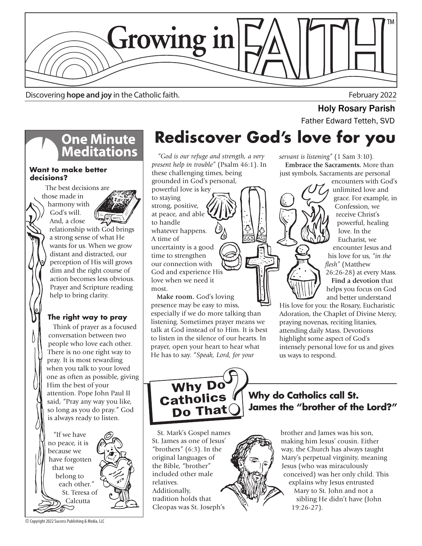

Discovering **hope and joy** in the Catholic faith. **February 2022** 

# **Holy Rosary Parish**<br>Father Edward Tetteh, SVD

### **One Minute Meditations**

#### **Want to make better decisions?**

 The best decisions are those made in harmony with God's will. And, a close relationship with God brings a strong sense of what He wants for us. When we grow distant and distracted, our perception of His will grows dim and the right course of action becomes less obvious. Prayer and Scripture reading help to bring clarity.

### **The right way to pray**

 Think of prayer as a focused conversation between two people who love each other. There is no one right way to pray. It is most rewarding when you talk to your loved one as often as possible, giving Him the best of your attention. Pope John Paul II said, "Pray any way you like, so long as you do pray." God is always ready to listen.

 "If we have no peace, it is because we have forgotten that we belong to each other." St. Teresa of Calcutta



## **Rediscover God's love for you**

 *"God is our refuge and strength, a very present help in trouble"* (Psalm 46:1). In these challenging times, being grounded in God's personal, powerful love is key

to staying strong, positive, at peace, and able to handle whatever happens. A time of uncertainty is a good time to strengthen our connection with God and experience His love when we need it most.

 **Make room.** God's loving presence may be easy to miss, especially if we do more talking than listening. Sometimes prayer means we talk at God instead of to Him. It is best to listen in the silence of our hearts. In prayer, open your heart to hear what He has to say. "*Speak, Lord, for your* 

*servant is listening"* (1 Sam 3:10).  **Embrace the Sacraments.** More than just symbols, Sacraments are personal

encounters with God's unlimited love and grace. For example, in Confession, we receive Christ's powerful, healing love. In the Eucharist, we encounter Jesus and his love for us, *"in the*  flesh" (Matthew

26:26-28) at every Mass.  **Find a devotion** that helps you focus on God and better understand

His love for you: the Rosary, Eucharistic Adoration, the Chaplet of Divine Mercy, praying novenas, reciting litanies, attending daily Mass. Devotions highlight some aspect of God's intensely personal love for us and gives us ways to respond.



### **Why do Catholics call St. James the "brother of the Lord?"**

 St. Mark's Gospel names St. James as one of Jesus' "brothers" (6:3). In the original languages of the Bible, "brother" included other male relatives. Additionally, tradition holds that Cleopas was St. Joseph's

brother and James was his son, making him Jesus' cousin. Either way, the Church has always taught Mary's perpetual virginity, meaning Jesus (who was miraculously conceived) was her only child. This explains why Jesus entrusted Mary to St. John and not a sibling He didn't have (John 19:26-27).

© Copyright 2022 Success Publishing & Media, LLC